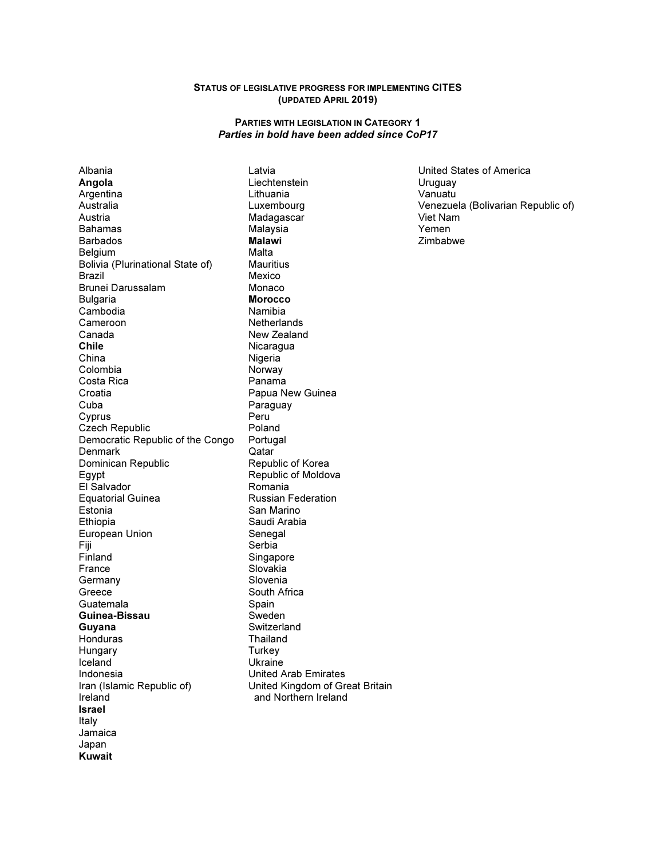### STATUS OF LEGISLATIVE PROGRESS FOR IMPLEMENTING CITES (UPDATED APRIL 2019)

#### PARTIES WITH LEGISLATION IN CATEGORY 1 Parties in bold have been added since CoP17

Albania Angola Argentina Australia Austria Bahamas Barbados **Belgium** Bolivia (Plurinational State of) Brazil Brunei Darussalam Bulgaria Cambodia Cameroon Canada Chile China Colombia Costa Rica Croatia Cuba Cyprus Czech Republic Democratic Republic of the Congo **Denmark** Dominican Republic Egypt El Salvador Equatorial Guinea Estonia Ethiopia European Union Fiji Finland France Germany Greece Guatemala Guinea-Bissau Guyana Honduras Hungary Iceland Indonesia Iran (Islamic Republic of) Ireland Israel Italy Jamaica Japan Kuwait

Latvia **Liechtenstein** Lithuania Luxembourg Madagascar Malaysia Malawi Malta **Mauritius** Mexico Monaco Morocco Namibia **Netherlands** New Zealand Nicaragua **Nigeria Norway** Panama Papua New Guinea Paraguay Peru Poland Portugal **Qatar** Republic of Korea Republic of Moldova Romania Russian Federation San Marino Saudi Arabia Senegal Serbia Singapore Slovakia Slovenia South Africa Spain Sweden **Switzerland** Thailand **Turkey** Ukraine United Arab Emirates United Kingdom of Great Britain and Northern Ireland

United States of America Uruguay Vanuatu Venezuela (Bolivarian Republic of) Viet Nam Yemen Zimbabwe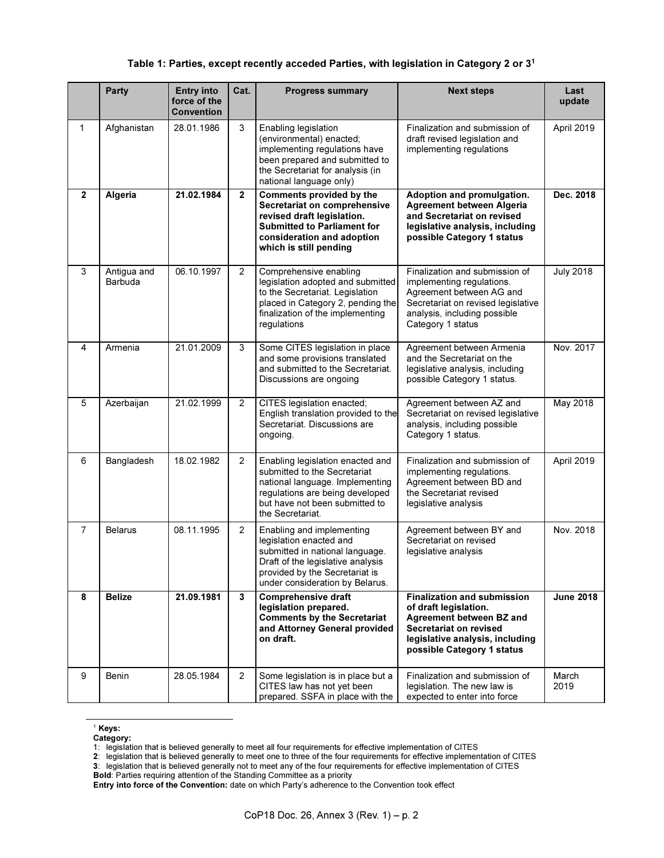## Table 1: Parties, except recently acceded Parties, with legislation in Category 2 or 3<sup>1</sup>

|              | <b>Party</b>           | <b>Entry into</b><br>force of the<br><b>Convention</b> | Cat.                    | <b>Progress summary</b>                                                                                                                                                                           | <b>Next steps</b>                                                                                                                                                                  | Last<br>update   |
|--------------|------------------------|--------------------------------------------------------|-------------------------|---------------------------------------------------------------------------------------------------------------------------------------------------------------------------------------------------|------------------------------------------------------------------------------------------------------------------------------------------------------------------------------------|------------------|
| $\mathbf{1}$ | Afghanistan            | 28.01.1986                                             | 3                       | Enabling legislation<br>(environmental) enacted;<br>implementing regulations have<br>been prepared and submitted to<br>the Secretariat for analysis (in<br>national language only)                | Finalization and submission of<br>draft revised legislation and<br>implementing regulations                                                                                        | April 2019       |
| $\mathbf{2}$ | Algeria                | 21.02.1984                                             | $\mathbf 2$             | Comments provided by the<br>Secretariat on comprehensive<br>revised draft legislation.<br><b>Submitted to Parliament for</b><br>consideration and adoption<br>which is still pending              | Adoption and promulgation.<br>Agreement between Algeria<br>and Secretariat on revised<br>legislative analysis, including<br>possible Category 1 status                             | Dec. 2018        |
| 3            | Antigua and<br>Barbuda | 06.10.1997                                             | 2                       | Comprehensive enabling<br>legislation adopted and submitted<br>to the Secretariat. Legislation<br>placed in Category 2, pending the<br>finalization of the implementing<br>regulations            | Finalization and submission of<br>implementing regulations.<br>Agreement between AG and<br>Secretariat on revised legislative<br>analysis, including possible<br>Category 1 status | <b>July 2018</b> |
| 4            | Armenia                | 21.01.2009                                             | 3                       | Some CITES legislation in place<br>and some provisions translated<br>and submitted to the Secretariat.<br>Discussions are ongoing                                                                 | Agreement between Armenia<br>and the Secretariat on the<br>legislative analysis, including<br>possible Category 1 status.                                                          | Nov. 2017        |
| 5            | Azerbaijan             | 21.02.1999                                             | 2                       | CITES legislation enacted;<br>English translation provided to the<br>Secretariat. Discussions are<br>ongoing.                                                                                     | Agreement between AZ and<br>Secretariat on revised legislative<br>analysis, including possible<br>Category 1 status.                                                               | <b>May 2018</b>  |
| 6            | Bangladesh             | 18.02.1982                                             | 2                       | Enabling legislation enacted and<br>submitted to the Secretariat<br>national language. Implementing<br>regulations are being developed<br>but have not been submitted to<br>the Secretariat.      | Finalization and submission of<br>implementing regulations.<br>Agreement between BD and<br>the Secretariat revised<br>legislative analysis                                         | April 2019       |
| 7            | <b>Belarus</b>         | 08.11.1995                                             | $\overline{c}$          | Enabling and implementing<br>legislation enacted and<br>submitted in national language.<br>Draft of the legislative analysis<br>provided by the Secretariat is<br>under consideration by Belarus. | Agreement between BY and<br>Secretariat on revised<br>legislative analysis                                                                                                         | Nov. 2018        |
| 8            | <b>Belize</b>          | 21.09.1981                                             | $\overline{\mathbf{3}}$ | <b>Comprehensive draft</b><br>legislation prepared.<br><b>Comments by the Secretariat</b><br>and Attorney General provided<br>on draft.                                                           | <b>Finalization and submission</b><br>of draft legislation.<br>Agreement between BZ and<br>Secretariat on revised<br>legislative analysis, including<br>possible Category 1 status | <b>June 2018</b> |
| 9            | <b>Benin</b>           | 28.05.1984                                             | 2                       | Some legislation is in place but a<br>CITES law has not yet been<br>prepared. SSFA in place with the                                                                                              | Finalization and submission of<br>legislation. The new law is<br>expected to enter into force                                                                                      | March<br>2019    |

<sup>1</sup> Keys:

-

Category:

<sup>1:</sup> legislation that is believed generally to meet all four requirements for effective implementation of CITES

<sup>2</sup>: legislation that is believed generally to meet one to three of the four requirements for effective implementation of CITES

<sup>3</sup>: legislation that is believed generally not to meet any of the four requirements for effective implementation of CITES

**Bold**: Parties requiring attention of the Standing Committee as a priority

Entry into force of the Convention: date on which Party's adherence to the Convention took effect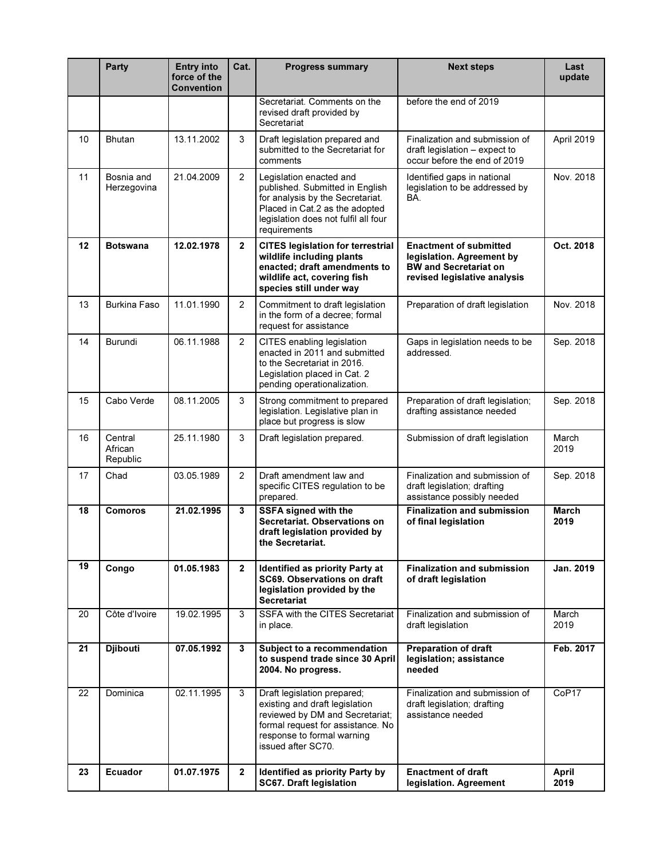|    | <b>Party</b>                   | <b>Entry into</b><br>force of the<br><b>Convention</b> | Cat.                    | <b>Progress summary</b>                                                                                                                                                                   | <b>Next steps</b>                                                                                                          | Last<br>update       |
|----|--------------------------------|--------------------------------------------------------|-------------------------|-------------------------------------------------------------------------------------------------------------------------------------------------------------------------------------------|----------------------------------------------------------------------------------------------------------------------------|----------------------|
|    |                                |                                                        |                         | Secretariat. Comments on the<br>revised draft provided by<br>Secretariat                                                                                                                  | before the end of 2019                                                                                                     |                      |
| 10 | <b>Bhutan</b>                  | 13.11.2002                                             | 3                       | Draft legislation prepared and<br>submitted to the Secretariat for<br>comments                                                                                                            | Finalization and submission of<br>draft legislation - expect to<br>occur before the end of 2019                            | April 2019           |
| 11 | Bosnia and<br>Herzegovina      | 21.04.2009                                             | 2                       | Legislation enacted and<br>published. Submitted in English<br>for analysis by the Secretariat.<br>Placed in Cat.2 as the adopted<br>legislation does not fulfil all four<br>requirements  | Identified gaps in national<br>legislation to be addressed by<br>BA.                                                       | Nov. 2018            |
| 12 | <b>Botswana</b>                | 12.02.1978                                             | $\overline{2}$          | <b>CITES legislation for terrestrial</b><br>wildlife including plants<br>enacted; draft amendments to<br>wildlife act, covering fish<br>species still under way                           | <b>Enactment of submitted</b><br>legislation. Agreement by<br><b>BW and Secretariat on</b><br>revised legislative analysis | Oct. 2018            |
| 13 | <b>Burkina Faso</b>            | 11.01.1990                                             | 2                       | Commitment to draft legislation<br>in the form of a decree; formal<br>request for assistance                                                                                              | Preparation of draft legislation                                                                                           | Nov. 2018            |
| 14 | Burundi                        | 06.11.1988                                             | 2                       | CITES enabling legislation<br>enacted in 2011 and submitted<br>to the Secretariat in 2016.<br>Legislation placed in Cat. 2<br>pending operationalization.                                 | Gaps in legislation needs to be<br>addressed.                                                                              | Sep. 2018            |
| 15 | Cabo Verde                     | 08.11.2005                                             | 3                       | Strong commitment to prepared<br>legislation. Legislative plan in<br>place but progress is slow                                                                                           | Preparation of draft legislation;<br>drafting assistance needed                                                            | Sep. 2018            |
| 16 | Central<br>African<br>Republic | 25.11.1980                                             | 3                       | Draft legislation prepared.                                                                                                                                                               | Submission of draft legislation                                                                                            | March<br>2019        |
| 17 | Chad                           | 03.05.1989                                             | $\overline{c}$          | Draft amendment law and<br>specific CITES regulation to be<br>prepared.                                                                                                                   | Finalization and submission of<br>draft legislation; drafting<br>assistance possibly needed                                | Sep. 2018            |
| 18 | <b>Comoros</b>                 | 21.02.1995                                             | 3                       | <b>SSFA signed with the</b><br>Secretariat. Observations on<br>draft legislation provided by<br>the Secretariat.                                                                          | <b>Finalization and submission</b><br>of final legislation                                                                 | <b>March</b><br>2019 |
| 19 | Congo                          | 01.05.1983                                             | $\overline{2}$          | <b>Identified as priority Party at</b><br>SC69. Observations on draft<br>legislation provided by the<br><b>Secretariat</b>                                                                | <b>Finalization and submission</b><br>of draft legislation                                                                 | Jan. 2019            |
| 20 | Côte d'Ivoire                  | 19.02.1995                                             | 3                       | SSFA with the CITES Secretariat<br>in place.                                                                                                                                              | Finalization and submission of<br>draft legislation                                                                        | March<br>2019        |
| 21 | <b>Djibouti</b>                | 07.05.1992                                             | 3                       | Subject to a recommendation<br>to suspend trade since 30 April<br>2004. No progress.                                                                                                      | <b>Preparation of draft</b><br>legislation; assistance<br>needed                                                           | Feb. 2017            |
| 22 | Dominica                       | 02.11.1995                                             | 3                       | Draft legislation prepared;<br>existing and draft legislation<br>reviewed by DM and Secretariat;<br>formal request for assistance. No<br>response to formal warning<br>issued after SC70. | Finalization and submission of<br>draft legislation; drafting<br>assistance needed                                         | CoP17                |
| 23 | Ecuador                        | 01.07.1975                                             | $\overline{\mathbf{2}}$ | Identified as priority Party by<br><b>SC67. Draft legislation</b>                                                                                                                         | <b>Enactment of draft</b><br>legislation. Agreement                                                                        | April<br>2019        |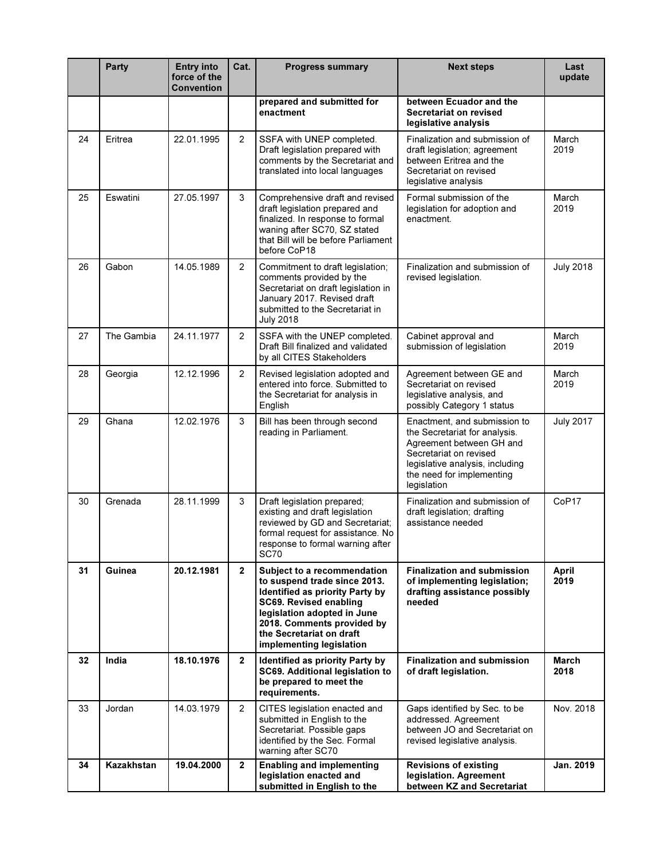|    | <b>Party</b> | <b>Entry into</b><br>force of the<br><b>Convention</b> | Cat.           | <b>Progress summary</b>                                                                                                                                                                                                                       | <b>Next steps</b>                                                                                                                                                                                  | Last<br>update    |
|----|--------------|--------------------------------------------------------|----------------|-----------------------------------------------------------------------------------------------------------------------------------------------------------------------------------------------------------------------------------------------|----------------------------------------------------------------------------------------------------------------------------------------------------------------------------------------------------|-------------------|
|    |              |                                                        |                | prepared and submitted for<br>enactment                                                                                                                                                                                                       | between Ecuador and the<br>Secretariat on revised<br>legislative analysis                                                                                                                          |                   |
| 24 | Eritrea      | 22.01.1995                                             | $\overline{2}$ | SSFA with UNEP completed.<br>Draft legislation prepared with<br>comments by the Secretariat and<br>translated into local languages                                                                                                            | Finalization and submission of<br>draft legislation; agreement<br>between Eritrea and the<br>Secretariat on revised<br>legislative analysis                                                        | March<br>2019     |
| 25 | Eswatini     | 27.05.1997                                             | 3              | Comprehensive draft and revised<br>draft legislation prepared and<br>finalized. In response to formal<br>waning after SC70, SZ stated<br>that Bill will be before Parliament<br>before CoP18                                                  | Formal submission of the<br>legislation for adoption and<br>enactment.                                                                                                                             | March<br>2019     |
| 26 | Gabon        | 14.05.1989                                             | $\overline{c}$ | Commitment to draft legislation;<br>comments provided by the<br>Secretariat on draft legislation in<br>January 2017. Revised draft<br>submitted to the Secretariat in<br><b>July 2018</b>                                                     | Finalization and submission of<br>revised legislation.                                                                                                                                             | <b>July 2018</b>  |
| 27 | The Gambia   | 24.11.1977                                             | $\overline{2}$ | SSFA with the UNEP completed.<br>Draft Bill finalized and validated<br>by all CITES Stakeholders                                                                                                                                              | Cabinet approval and<br>submission of legislation                                                                                                                                                  | March<br>2019     |
| 28 | Georgia      | 12.12.1996                                             | $\overline{2}$ | Revised legislation adopted and<br>entered into force. Submitted to<br>the Secretariat for analysis in<br>English                                                                                                                             | Agreement between GE and<br>Secretariat on revised<br>legislative analysis, and<br>possibly Category 1 status                                                                                      | March<br>2019     |
| 29 | Ghana        | 12.02.1976                                             | 3              | Bill has been through second<br>reading in Parliament.                                                                                                                                                                                        | Enactment, and submission to<br>the Secretariat for analysis.<br>Agreement between GH and<br>Secretariat on revised<br>legislative analysis, including<br>the need for implementing<br>legislation | <b>July 2017</b>  |
| 30 | Grenada      | 28.11.1999                                             | 3              | Draft legislation prepared;<br>existing and draft legislation<br>reviewed by GD and Secretariat;<br>formal request for assistance. No<br>response to formal warning after<br><b>SC70</b>                                                      | Finalization and submission of<br>draft legislation; drafting<br>assistance needed                                                                                                                 | CoP <sub>17</sub> |
| 31 | Guinea       | 20.12.1981                                             | $\overline{2}$ | Subject to a recommendation<br>to suspend trade since 2013.<br>Identified as priority Party by<br>SC69. Revised enabling<br>legislation adopted in June<br>2018. Comments provided by<br>the Secretariat on draft<br>implementing legislation | <b>Finalization and submission</b><br>of implementing legislation:<br>drafting assistance possibly<br>needed                                                                                       | April<br>2019     |
| 32 | India        | 18.10.1976                                             | $\mathbf{2}$   | Identified as priority Party by<br>SC69. Additional legislation to<br>be prepared to meet the<br>requirements.                                                                                                                                | <b>Finalization and submission</b><br>of draft legislation.                                                                                                                                        | March<br>2018     |
| 33 | Jordan       | 14.03.1979                                             | $\overline{2}$ | CITES legislation enacted and<br>submitted in English to the<br>Secretariat. Possible gaps<br>identified by the Sec. Formal<br>warning after SC70                                                                                             | Gaps identified by Sec. to be<br>addressed. Agreement<br>between JO and Secretariat on<br>revised legislative analysis.                                                                            | Nov. 2018         |
| 34 | Kazakhstan   | 19.04.2000                                             | $\overline{2}$ | <b>Enabling and implementing</b><br>legislation enacted and<br>submitted in English to the                                                                                                                                                    | <b>Revisions of existing</b><br>legislation. Agreement<br>between KZ and Secretariat                                                                                                               | Jan. 2019         |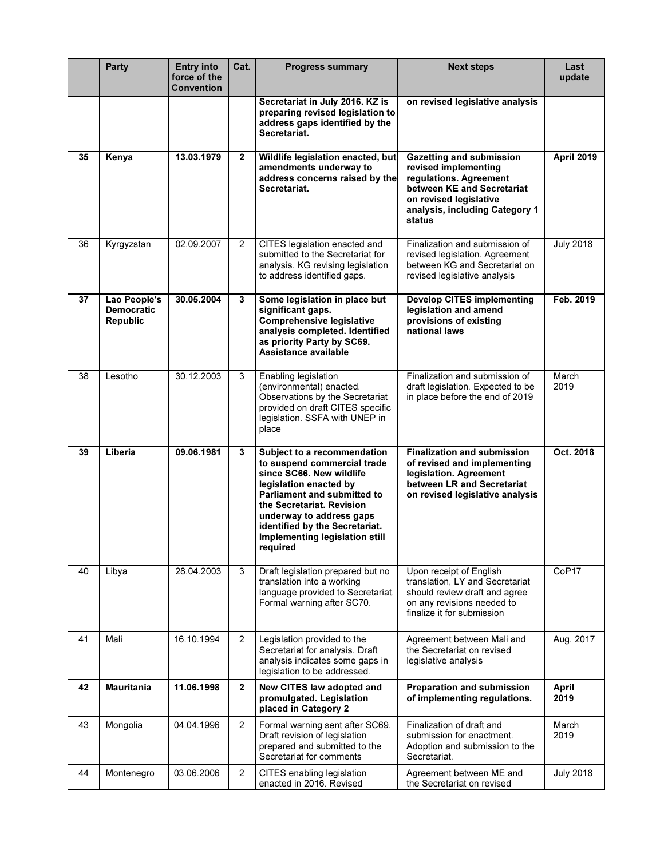|    | <b>Party</b>                                         | <b>Entry into</b><br>force of the<br>Convention | Cat.                    | <b>Progress summary</b>                                                                                                                                                                                                                                                                  | <b>Next steps</b>                                                                                                                                                                     | Last<br>update       |
|----|------------------------------------------------------|-------------------------------------------------|-------------------------|------------------------------------------------------------------------------------------------------------------------------------------------------------------------------------------------------------------------------------------------------------------------------------------|---------------------------------------------------------------------------------------------------------------------------------------------------------------------------------------|----------------------|
|    |                                                      |                                                 |                         | Secretariat in July 2016. KZ is<br>preparing revised legislation to<br>address gaps identified by the<br>Secretariat.                                                                                                                                                                    | on revised legislative analysis                                                                                                                                                       |                      |
| 35 | Kenya                                                | 13.03.1979                                      | $\overline{2}$          | Wildlife legislation enacted, but<br>amendments underway to<br>address concerns raised by the<br>Secretariat.                                                                                                                                                                            | <b>Gazetting and submission</b><br>revised implementing<br>regulations. Agreement<br>between KE and Secretariat<br>on revised legislative<br>analysis, including Category 1<br>status | <b>April 2019</b>    |
| 36 | Kyrgyzstan                                           | 02.09.2007                                      | 2                       | CITES legislation enacted and<br>submitted to the Secretariat for<br>analysis. KG revising legislation<br>to address identified gaps.                                                                                                                                                    | Finalization and submission of<br>revised legislation. Agreement<br>between KG and Secretariat on<br>revised legislative analysis                                                     | <b>July 2018</b>     |
| 37 | Lao People's<br><b>Democratic</b><br><b>Republic</b> | 30.05.2004                                      | 3                       | Some legislation in place but<br>significant gaps.<br><b>Comprehensive legislative</b><br>analysis completed. Identified<br>as priority Party by SC69.<br>Assistance available                                                                                                           | <b>Develop CITES implementing</b><br>legislation and amend<br>provisions of existing<br>national laws                                                                                 | Feb. 2019            |
| 38 | Lesotho                                              | 30.12.2003                                      | 3                       | Enabling legislation<br>(environmental) enacted.<br>Observations by the Secretariat<br>provided on draft CITES specific<br>legislation. SSFA with UNEP in<br>place                                                                                                                       | Finalization and submission of<br>draft legislation. Expected to be<br>in place before the end of 2019                                                                                | March<br>2019        |
| 39 | Liberia                                              | 09.06.1981                                      | 3                       | Subject to a recommendation<br>to suspend commercial trade<br>since SC66. New wildlife<br>legislation enacted by<br>Parliament and submitted to<br>the Secretariat. Revision<br>underway to address gaps<br>identified by the Secretariat.<br>Implementing legislation still<br>required | <b>Finalization and submission</b><br>of revised and implementing<br>legislation. Agreement<br>between LR and Secretariat<br>on revised legislative analysis                          | Oct. 2018            |
| 40 | Libya                                                | 28.04.2003                                      | 3                       | Draft legislation prepared but no<br>translation into a working<br>language provided to Secretariat.<br>Formal warning after SC70.                                                                                                                                                       | Upon receipt of English<br>translation, LY and Secretariat<br>should review draft and agree<br>on any revisions needed to<br>finalize it for submission                               | CoP17                |
| 41 | Mali                                                 | 16.10.1994                                      | 2                       | Legislation provided to the<br>Secretariat for analysis. Draft<br>analysis indicates some gaps in<br>legislation to be addressed.                                                                                                                                                        | Agreement between Mali and<br>the Secretariat on revised<br>legislative analysis                                                                                                      | Aug. 2017            |
| 42 | <b>Mauritania</b>                                    | 11.06.1998                                      | $\overline{\mathbf{2}}$ | New CITES law adopted and<br>promulgated. Legislation<br>placed in Category 2                                                                                                                                                                                                            | <b>Preparation and submission</b><br>of implementing regulations.                                                                                                                     | <b>April</b><br>2019 |
| 43 | Mongolia                                             | 04.04.1996                                      | $\overline{2}$          | Formal warning sent after SC69.<br>Draft revision of legislation<br>prepared and submitted to the<br>Secretariat for comments                                                                                                                                                            | Finalization of draft and<br>submission for enactment.<br>Adoption and submission to the<br>Secretariat.                                                                              | March<br>2019        |
| 44 | Montenegro                                           | 03.06.2006                                      | $\overline{2}$          | CITES enabling legislation<br>enacted in 2016. Revised                                                                                                                                                                                                                                   | Agreement between ME and<br>the Secretariat on revised                                                                                                                                | <b>July 2018</b>     |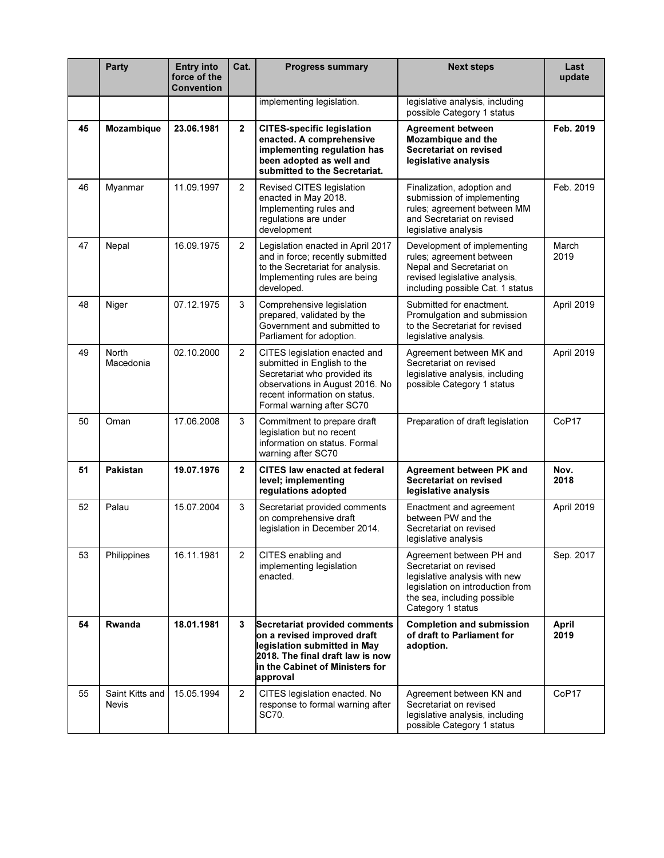|    | <b>Party</b>                    | <b>Entry into</b><br>force of the<br>Convention | Cat.           | <b>Progress summary</b>                                                                                                                                                                       | <b>Next steps</b>                                                                                                                                                           | Last<br>update |
|----|---------------------------------|-------------------------------------------------|----------------|-----------------------------------------------------------------------------------------------------------------------------------------------------------------------------------------------|-----------------------------------------------------------------------------------------------------------------------------------------------------------------------------|----------------|
|    |                                 |                                                 |                | implementing legislation.                                                                                                                                                                     | legislative analysis, including<br>possible Category 1 status                                                                                                               |                |
| 45 | <b>Mozambique</b>               | 23.06.1981                                      | $\overline{2}$ | <b>CITES-specific legislation</b><br>enacted. A comprehensive<br>implementing regulation has<br>been adopted as well and<br>submitted to the Secretariat.                                     | <b>Agreement between</b><br>Mozambique and the<br>Secretariat on revised<br>legislative analysis                                                                            | Feb. 2019      |
| 46 | Myanmar                         | 11.09.1997                                      | $\overline{2}$ | Revised CITES legislation<br>enacted in May 2018.<br>Implementing rules and<br>regulations are under<br>development                                                                           | Finalization, adoption and<br>submission of implementing<br>rules; agreement between MM<br>and Secretariat on revised<br>legislative analysis                               | Feb. 2019      |
| 47 | Nepal                           | 16.09.1975                                      | 2              | Legislation enacted in April 2017<br>and in force; recently submitted<br>to the Secretariat for analysis.<br>Implementing rules are being<br>developed.                                       | Development of implementing<br>rules; agreement between<br>Nepal and Secretariat on<br>revised legislative analysis,<br>including possible Cat. 1 status                    | March<br>2019  |
| 48 | Niger                           | 07.12.1975                                      | 3              | Comprehensive legislation<br>prepared, validated by the<br>Government and submitted to<br>Parliament for adoption.                                                                            | Submitted for enactment.<br>Promulgation and submission<br>to the Secretariat for revised<br>legislative analysis.                                                          | April 2019     |
| 49 | <b>North</b><br>Macedonia       | 02.10.2000                                      | $\overline{2}$ | CITES legislation enacted and<br>submitted in English to the<br>Secretariat who provided its<br>observations in August 2016. No<br>recent information on status.<br>Formal warning after SC70 | Agreement between MK and<br>Secretariat on revised<br>legislative analysis, including<br>possible Category 1 status                                                         | April 2019     |
| 50 | Oman                            | 17.06.2008                                      | 3              | Commitment to prepare draft<br>legislation but no recent<br>information on status. Formal<br>warning after SC70                                                                               | Preparation of draft legislation                                                                                                                                            | CoP17          |
| 51 | Pakistan                        | 19.07.1976                                      | $\overline{2}$ | CITES law enacted at federal<br>level; implementing<br>regulations adopted                                                                                                                    | Agreement between PK and<br>Secretariat on revised<br>legislative analysis                                                                                                  | Nov.<br>2018   |
| 52 | Palau                           | 15.07.2004                                      | 3              | Secretariat provided comments<br>on comprehensive draft<br>legislation in December 2014.                                                                                                      | Enactment and agreement<br>between PW and the<br>Secretariat on revised<br>legislative analysis                                                                             | April 2019     |
| 53 | Philippines                     | 16.11.1981                                      | $\overline{c}$ | CITES enabling and<br>implementing legislation<br>enacted.                                                                                                                                    | Agreement between PH and<br>Secretariat on revised<br>legislative analysis with new<br>legislation on introduction from<br>the sea, including possible<br>Category 1 status | Sep. 2017      |
| 54 | Rwanda                          | 18.01.1981                                      | 3              | Secretariat provided comments<br>on a revised improved draft<br>legislation submitted in May<br>2018. The final draft law is now<br>in the Cabinet of Ministers for<br>approval               | <b>Completion and submission</b><br>of draft to Parliament for<br>adoption.                                                                                                 | April<br>2019  |
| 55 | Saint Kitts and<br><b>Nevis</b> | 15.05.1994                                      | $\overline{2}$ | CITES legislation enacted. No<br>response to formal warning after<br>SC70.                                                                                                                    | Agreement between KN and<br>Secretariat on revised<br>legislative analysis, including<br>possible Category 1 status                                                         | CoP17          |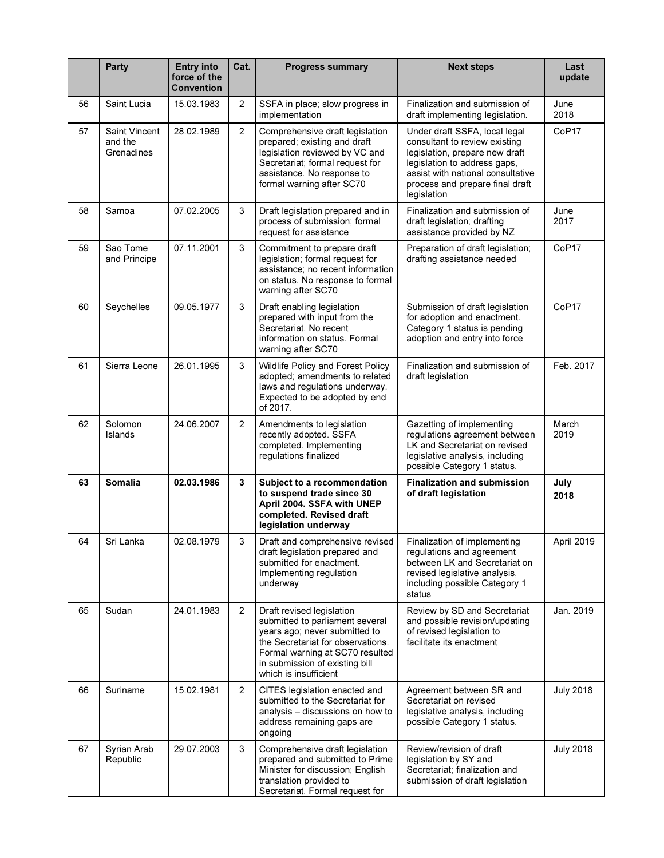|    | <b>Party</b>                           | <b>Entry into</b><br>force of the<br><b>Convention</b> | Cat.           | <b>Progress summary</b>                                                                                                                                                                                                          | <b>Next steps</b>                                                                                                                                                                                                       | Last<br>update   |
|----|----------------------------------------|--------------------------------------------------------|----------------|----------------------------------------------------------------------------------------------------------------------------------------------------------------------------------------------------------------------------------|-------------------------------------------------------------------------------------------------------------------------------------------------------------------------------------------------------------------------|------------------|
| 56 | Saint Lucia                            | 15.03.1983                                             | 2              | SSFA in place; slow progress in<br>implementation                                                                                                                                                                                | Finalization and submission of<br>draft implementing legislation.                                                                                                                                                       | June<br>2018     |
| 57 | Saint Vincent<br>and the<br>Grenadines | 28.02.1989                                             | $\overline{2}$ | Comprehensive draft legislation<br>prepared; existing and draft<br>legislation reviewed by VC and<br>Secretariat; formal request for<br>assistance. No response to<br>formal warning after SC70                                  | Under draft SSFA, local legal<br>consultant to review existing<br>legislation, prepare new draft<br>legislation to address gaps,<br>assist with national consultative<br>process and prepare final draft<br>legislation | CoP17            |
| 58 | Samoa                                  | 07.02.2005                                             | 3              | Draft legislation prepared and in<br>process of submission; formal<br>request for assistance                                                                                                                                     | Finalization and submission of<br>draft legislation; drafting<br>assistance provided by NZ                                                                                                                              | June<br>2017     |
| 59 | Sao Tome<br>and Principe               | 07.11.2001                                             | 3              | Commitment to prepare draft<br>legislation; formal request for<br>assistance; no recent information<br>on status. No response to formal<br>warning after SC70                                                                    | Preparation of draft legislation;<br>drafting assistance needed                                                                                                                                                         | CoP17            |
| 60 | Seychelles                             | 09.05.1977                                             | 3              | Draft enabling legislation<br>prepared with input from the<br>Secretariat. No recent<br>information on status. Formal<br>warning after SC70                                                                                      | Submission of draft legislation<br>for adoption and enactment.<br>Category 1 status is pending<br>adoption and entry into force                                                                                         | CoP17            |
| 61 | Sierra Leone                           | 26.01.1995                                             | 3              | Wildlife Policy and Forest Policy<br>adopted; amendments to related<br>laws and regulations underway.<br>Expected to be adopted by end<br>of 2017.                                                                               | Finalization and submission of<br>draft legislation                                                                                                                                                                     | Feb. 2017        |
| 62 | Solomon<br>Islands                     | 24.06.2007                                             | 2              | Amendments to legislation<br>recently adopted. SSFA<br>completed. Implementing<br>regulations finalized                                                                                                                          | Gazetting of implementing<br>regulations agreement between<br>LK and Secretariat on revised<br>legislative analysis, including<br>possible Category 1 status.                                                           | March<br>2019    |
| 63 | <b>Somalia</b>                         | 02.03.1986                                             | 3              | Subject to a recommendation<br>to suspend trade since 30<br>April 2004. SSFA with UNEP<br>completed. Revised draft<br>legislation underway                                                                                       | <b>Finalization and submission</b><br>of draft legislation                                                                                                                                                              | July<br>2018     |
| 64 | Sri Lanka                              | 02 08 1979                                             | 3              | Draft and comprehensive revised<br>draft legislation prepared and<br>submitted for enactment.<br>Implementing regulation<br>underway                                                                                             | Finalization of implementing<br>regulations and agreement<br>between LK and Secretariat on<br>revised legislative analysis,<br>including possible Category 1<br>status                                                  | April 2019       |
| 65 | Sudan                                  | 24.01.1983                                             | $\overline{2}$ | Draft revised legislation<br>submitted to parliament several<br>years ago; never submitted to<br>the Secretariat for observations.<br>Formal warning at SC70 resulted<br>in submission of existing bill<br>which is insufficient | Review by SD and Secretariat<br>and possible revision/updating<br>of revised legislation to<br>facilitate its enactment                                                                                                 | Jan. 2019        |
| 66 | Suriname                               | 15.02.1981                                             | $\overline{2}$ | CITES legislation enacted and<br>submitted to the Secretariat for<br>analysis - discussions on how to<br>address remaining gaps are<br>ongoing                                                                                   | Agreement between SR and<br>Secretariat on revised<br>legislative analysis, including<br>possible Category 1 status.                                                                                                    | <b>July 2018</b> |
| 67 | Syrian Arab<br>Republic                | 29.07.2003                                             | 3              | Comprehensive draft legislation<br>prepared and submitted to Prime<br>Minister for discussion; English<br>translation provided to<br>Secretariat. Formal request for                                                             | Review/revision of draft<br>legislation by SY and<br>Secretariat; finalization and<br>submission of draft legislation                                                                                                   | <b>July 2018</b> |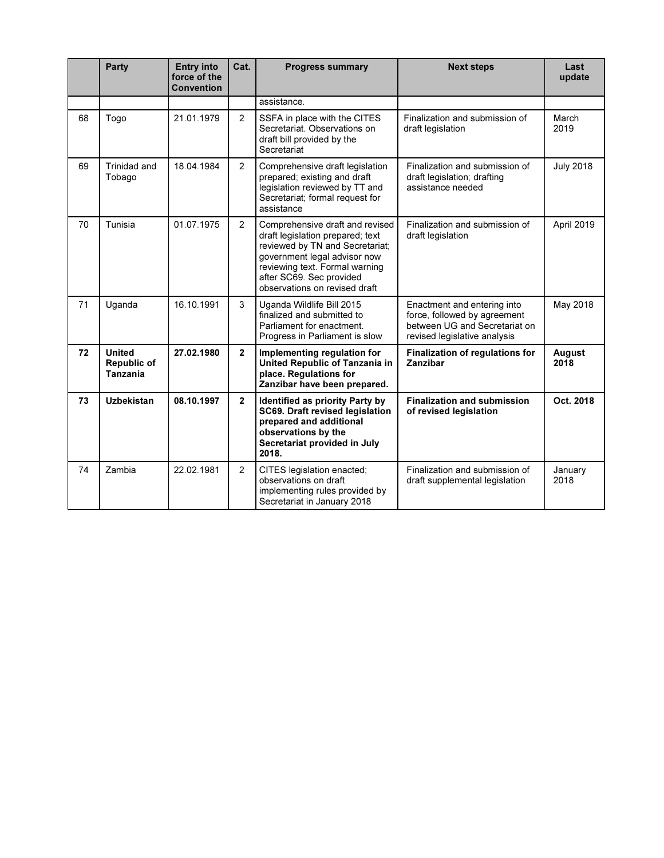|    | <b>Party</b>                                           | <b>Entry into</b><br>force of the<br><b>Convention</b> | Cat.           | <b>Progress summary</b>                                                                                                                                                                                                               | <b>Next steps</b>                                                                                                            | Last<br>update   |
|----|--------------------------------------------------------|--------------------------------------------------------|----------------|---------------------------------------------------------------------------------------------------------------------------------------------------------------------------------------------------------------------------------------|------------------------------------------------------------------------------------------------------------------------------|------------------|
|    |                                                        |                                                        |                | assistance.                                                                                                                                                                                                                           |                                                                                                                              |                  |
| 68 | Togo                                                   | 21.01.1979                                             | $\overline{2}$ | SSFA in place with the CITES<br>Secretariat. Observations on<br>draft bill provided by the<br>Secretariat                                                                                                                             | Finalization and submission of<br>draft legislation                                                                          | March<br>2019    |
| 69 | Trinidad and<br>Tobago                                 | 18.04.1984                                             | $\overline{2}$ | Comprehensive draft legislation<br>prepared; existing and draft<br>legislation reviewed by TT and<br>Secretariat; formal request for<br>assistance                                                                                    | Finalization and submission of<br>draft legislation; drafting<br>assistance needed                                           | <b>July 2018</b> |
| 70 | Tunisia                                                | 01.07.1975                                             | $\overline{2}$ | Comprehensive draft and revised<br>draft legislation prepared; text<br>reviewed by TN and Secretariat;<br>government legal advisor now<br>reviewing text. Formal warning<br>after SC69. Sec provided<br>observations on revised draft | Finalization and submission of<br>draft legislation                                                                          | April 2019       |
| 71 | Uganda                                                 | 16.10.1991                                             | 3              | Uganda Wildlife Bill 2015<br>finalized and submitted to<br>Parliament for enactment.<br>Progress in Parliament is slow                                                                                                                | Enactment and entering into<br>force, followed by agreement<br>between UG and Secretariat on<br>revised legislative analysis | May 2018         |
| 72 | <b>United</b><br><b>Republic of</b><br><b>Tanzania</b> | 27.02.1980                                             | $\overline{2}$ | Implementing regulation for<br>United Republic of Tanzania in<br>place. Regulations for<br>Zanzibar have been prepared.                                                                                                               | <b>Finalization of regulations for</b><br>Zanzibar                                                                           | August<br>2018   |
| 73 | <b>Uzbekistan</b>                                      | 08.10.1997                                             | $\mathbf{2}$   | Identified as priority Party by<br>SC69. Draft revised legislation<br>prepared and additional<br>observations by the<br>Secretariat provided in July<br>2018.                                                                         | <b>Finalization and submission</b><br>of revised legislation                                                                 | Oct. 2018        |
| 74 | Zambia                                                 | 22.02.1981                                             | 2              | CITES legislation enacted;<br>observations on draft<br>implementing rules provided by<br>Secretariat in January 2018                                                                                                                  | Finalization and submission of<br>draft supplemental legislation                                                             | January<br>2018  |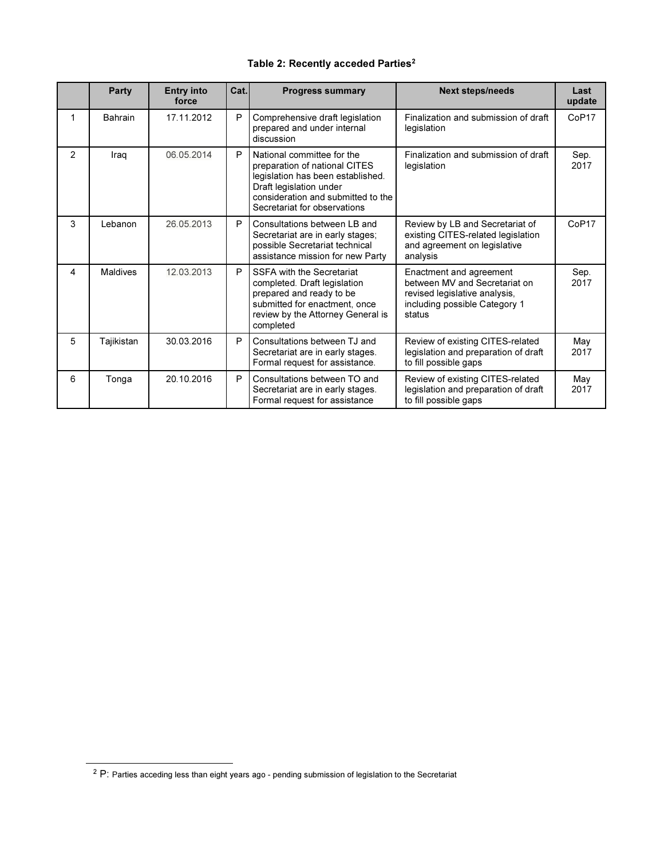# Table 2: Recently acceded Parties<sup>2</sup>

|                | <b>Party</b>    | <b>Entry into</b><br>force | Cat. | <b>Progress summary</b>                                                                                                                                                                           | <b>Next steps/needs</b>                                                                                                              | Last<br>update    |
|----------------|-----------------|----------------------------|------|---------------------------------------------------------------------------------------------------------------------------------------------------------------------------------------------------|--------------------------------------------------------------------------------------------------------------------------------------|-------------------|
| 1              | Bahrain         | 17.11.2012                 | P    | Comprehensive draft legislation<br>prepared and under internal<br>discussion                                                                                                                      | Finalization and submission of draft<br>legislation                                                                                  | CoP <sub>17</sub> |
| $\overline{2}$ | Iraq            | 06.05.2014                 | P    | National committee for the<br>preparation of national CITES<br>legislation has been established.<br>Draft legislation under<br>consideration and submitted to the<br>Secretariat for observations | Finalization and submission of draft<br>legislation                                                                                  | Sep.<br>2017      |
| 3              | Lebanon         | 26.05.2013                 | P    | Consultations between LB and<br>Secretariat are in early stages:<br>possible Secretariat technical<br>assistance mission for new Party                                                            | Review by LB and Secretariat of<br>existing CITES-related legislation<br>and agreement on legislative<br>analysis                    | CoP <sub>17</sub> |
| 4              | <b>Maldives</b> | 12.03.2013                 | P    | SSFA with the Secretariat<br>completed. Draft legislation<br>prepared and ready to be<br>submitted for enactment, once<br>review by the Attorney General is<br>completed                          | Enactment and agreement<br>between MV and Secretariat on<br>revised legislative analysis,<br>including possible Category 1<br>status | Sep.<br>2017      |
| 5              | Tajikistan      | 30.03.2016                 | P    | Consultations between TJ and<br>Secretariat are in early stages.<br>Formal request for assistance.                                                                                                | Review of existing CITES-related<br>legislation and preparation of draft<br>to fill possible gaps                                    | May<br>2017       |
| 6              | Tonga           | 20.10.2016                 | P    | Consultations between TO and<br>Secretariat are in early stages.<br>Formal request for assistance                                                                                                 | Review of existing CITES-related<br>legislation and preparation of draft<br>to fill possible gaps                                    | May<br>2017       |

-

<sup>&</sup>lt;sup>2</sup> P: Parties acceding less than eight years ago - pending submission of legislation to the Secretariat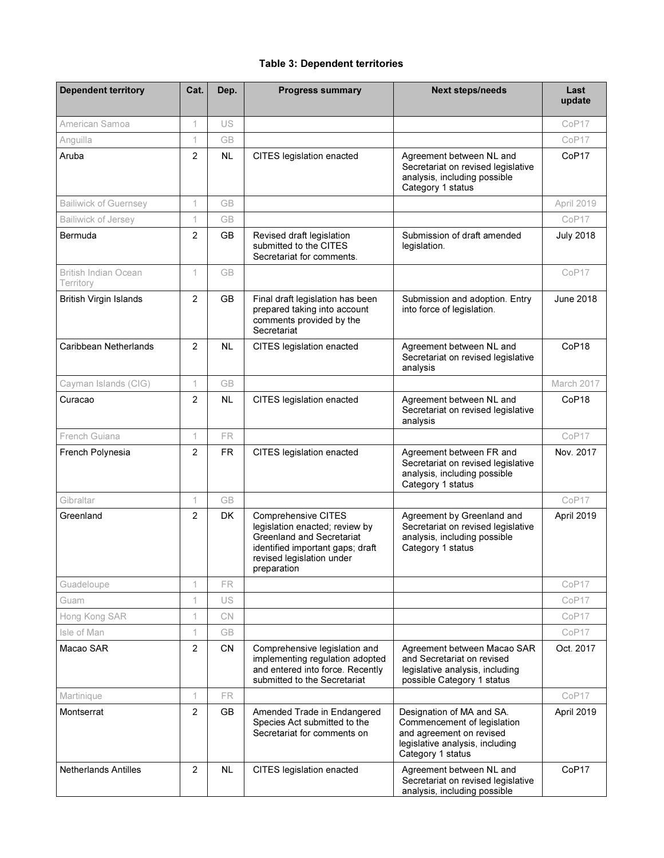# Table 3: Dependent territories

| <b>Dependent territory</b>        | Cat.           | Dep.      | <b>Progress summary</b>                                                                                                                                                          | <b>Next steps/needs</b>                                                                                                                      | Last<br>update    |
|-----------------------------------|----------------|-----------|----------------------------------------------------------------------------------------------------------------------------------------------------------------------------------|----------------------------------------------------------------------------------------------------------------------------------------------|-------------------|
| American Samoa                    | 1              | US        |                                                                                                                                                                                  |                                                                                                                                              | CoP <sub>17</sub> |
| Anguilla                          | 1              | <b>GB</b> |                                                                                                                                                                                  |                                                                                                                                              | CoP17             |
| Aruba                             | $\overline{2}$ | <b>NL</b> | CITES legislation enacted                                                                                                                                                        | Agreement between NL and<br>Secretariat on revised legislative<br>analysis, including possible<br>Category 1 status                          | CoP17             |
| <b>Bailiwick of Guernsey</b>      | 1              | <b>GB</b> |                                                                                                                                                                                  |                                                                                                                                              | April 2019        |
| Bailiwick of Jersey               | 1              | GB        |                                                                                                                                                                                  |                                                                                                                                              | CoP <sub>17</sub> |
| Bermuda                           | 2              | <b>GB</b> | Revised draft legislation<br>submitted to the CITES<br>Secretariat for comments.                                                                                                 | Submission of draft amended<br>legislation.                                                                                                  | <b>July 2018</b>  |
| British Indian Ocean<br>Territory | 1              | <b>GB</b> |                                                                                                                                                                                  |                                                                                                                                              | CoP17             |
| <b>British Virgin Islands</b>     | $\overline{2}$ | <b>GB</b> | Final draft legislation has been<br>prepared taking into account<br>comments provided by the<br>Secretariat                                                                      | Submission and adoption. Entry<br>into force of legislation.                                                                                 | June 2018         |
| Caribbean Netherlands             | 2              | <b>NL</b> | CITES legislation enacted                                                                                                                                                        | Agreement between NL and<br>Secretariat on revised legislative<br>analysis                                                                   | CoP <sub>18</sub> |
| Cayman Islands (CIG)              | 1              | <b>GB</b> |                                                                                                                                                                                  |                                                                                                                                              | March 2017        |
| Curacao                           | $\overline{2}$ | <b>NL</b> | CITES legislation enacted                                                                                                                                                        | Agreement between NL and<br>Secretariat on revised legislative<br>analysis                                                                   | CoP <sub>18</sub> |
| French Guiana                     | 1              | <b>FR</b> |                                                                                                                                                                                  |                                                                                                                                              | CoP17             |
| French Polynesia                  | 2              | <b>FR</b> | CITES legislation enacted                                                                                                                                                        | Agreement between FR and<br>Secretariat on revised legislative<br>analysis, including possible<br>Category 1 status                          | Nov. 2017         |
| Gibraltar                         | 1              | <b>GB</b> |                                                                                                                                                                                  |                                                                                                                                              | CoP17             |
| Greenland                         | $\overline{2}$ | <b>DK</b> | <b>Comprehensive CITES</b><br>legislation enacted; review by<br><b>Greenland and Secretariat</b><br>identified important gaps; draft<br>revised legislation under<br>preparation | Agreement by Greenland and<br>Secretariat on revised legislative<br>analysis, including possible<br>Category 1 status                        | April 2019        |
| Guadeloupe                        | 1              | FR.       |                                                                                                                                                                                  |                                                                                                                                              | CoP17             |
| Guam                              | 1              | US        |                                                                                                                                                                                  |                                                                                                                                              | CoP17             |
| Hong Kong SAR                     | 1              | <b>CN</b> |                                                                                                                                                                                  |                                                                                                                                              | CoP17             |
| Isle of Man                       | 1              | <b>GB</b> |                                                                                                                                                                                  |                                                                                                                                              | CoP17             |
| Macao SAR                         | 2              | <b>CN</b> | Comprehensive legislation and<br>implementing regulation adopted<br>and entered into force. Recently<br>submitted to the Secretariat                                             | Agreement between Macao SAR<br>and Secretariat on revised<br>legislative analysis, including<br>possible Category 1 status                   | Oct. 2017         |
| Martinique                        | 1              | FR.       |                                                                                                                                                                                  |                                                                                                                                              | CoP17             |
| Montserrat                        | 2              | GB        | Amended Trade in Endangered<br>Species Act submitted to the<br>Secretariat for comments on                                                                                       | Designation of MA and SA.<br>Commencement of legislation<br>and agreement on revised<br>legislative analysis, including<br>Category 1 status | April 2019        |
| <b>Netherlands Antilles</b>       | 2              | <b>NL</b> | CITES legislation enacted                                                                                                                                                        | Agreement between NL and<br>Secretariat on revised legislative<br>analysis, including possible                                               | CoP <sub>17</sub> |